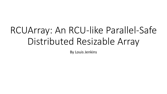# RCUArray: An RCU-like Parallel-Safe Distributed Resizable Array

By Louis Jenkins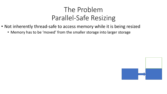- Not inherently thread-safe to access memory while it is being resized
	- Memory has to be 'moved' from the smaller storage into larger storage

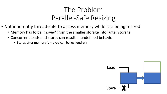- Not inherently thread-safe to access memory while it is being resized
	- Memory has to be 'moved' from the smaller storage into larger storage
	- Concurrent loads and stores can result in undefined behavior
		- Stores after memory is moved can be lost entirely

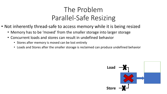- Not inherently thread-safe to access memory while it is being resized
	- Memory has to be 'moved' from the smaller storage into larger storage
	- Concurrent loads and stores can result in undefined behavior
		- Stores after memory is moved can be lost entirely
		- Loads and Stores after the smaller storage is reclaimed can produce undefined behavior

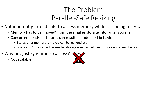- Not inherently thread-safe to access memory while it is being resized
	- Memory has to be 'moved' from the smaller storage into larger storage
	- Concurrent loads and stores can result in undefined behavior
		- Stores after memory is moved can be lost entirely
		- Loads and Stores after the smaller storage is reclaimed can produce undefined behavior
- Why not just synchronize access?
	- Not scalable

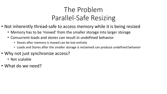- Not inherently thread-safe to access memory while it is being resized
	- Memory has to be 'moved' from the smaller storage into larger storage
	- Concurrent loads and stores can result in undefined behavior
		- Stores after memory is moved can be lost entirely
		- Loads and Stores after the smaller storage is reclaimed can produce undefined behavior
- Why not just synchronize access?
	- Not scalable
- What do we need?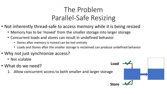- Not inherently thread-safe to access memory while it is being resized
	- Memory has to be 'moved' from the smaller storage into larger storage
	- Concurrent loads and stores can result in undefined behavior
		- Stores after memory is moved can be lost entirely
		- Loads and Stores after the smaller storage is reclaimed can produce undefined behavior
- Why not just synchronize access?
	- Not scalable
- What do we need?
	- 1. Allow concurrent access to both smaller and larger storage

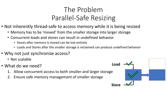- Not inherently thread-safe to access memory while it is being resized
	- Memory has to be 'moved' from the smaller storage into larger storage
	- Concurrent loads and stores can result in undefined behavior
		- Stores after memory is moved can be lost entirely
		- Loads and Stores after the smaller storage is reclaimed can produce undefined behavior
- Why not just synchronize access?
	- Not scalable
- What do we need?
	- 1. Allow concurrent access to both smaller and larger storage
	- 2. Ensure safe memory management of smaller storage

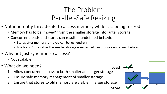- Not inherently thread-safe to access memory while it is being resized
	- Memory has to be 'moved' from the smaller storage into larger storage
	- Concurrent loads and stores can result in undefined behavior
		- Stores after memory is moved can be lost entirely
		- Loads and Stores after the smaller storage is reclaimed can produce undefined behavior
- Why not just synchronize access?
	- Not scalable
- What do we need?
	- 1. Allow concurrent access to both smaller and larger storage
	- 2. Ensure safe memory management of smaller storage
	- 3. Ensure that stores to old memory are visible in larger storage

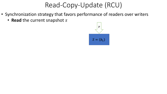- Synchronization strategy that favors performance of readers over writers
	- **Read** the current snapshot s

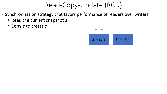- Synchronization strategy that favors performance of readers over writers
	- **Read** the current snapshot s
	- Copy s to create s'

$$
S = (b_1)
$$
 
$$
S' = (b_1)
$$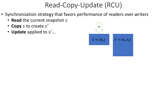- Synchronization strategy that favors performance of readers over writers
	- **Read** the current snapshot s
	- Copy s to create s'
	- **Update** applied to s ′…

$$
S = (b_1)
$$
 
$$
S' = (b_1, b_2)
$$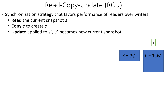- Synchronization strategy that favors performance of readers over writers
	- **Read** the current snapshot s
	- Copy s to create s'
	- Update applied to s', s' becomes new current snapshot

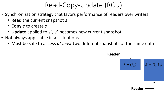- Synchronization strategy that favors performance of readers over writers
	- **Read** the current snapshot s
	- Copy s to create s'
	- Update applied to s', s' becomes new current snapshot
- Not always applicable in all situations
	- Must be safe to access *at least* two different snapshots of the same data

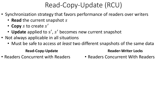- Synchronization strategy that favors performance of readers over writers
	- **Read** the current snapshot s
	- Copy s to create s'
	- Update applied to s', s' becomes new current snapshot
- Not always applicable in all situations
	- Must be safe to access *at least* two different snapshots of the same data

#### **Read-Copy-Update**

• Readers Concurrent with Readers

#### **Reader-Writer Locks**

• Readers Concurrent With Readers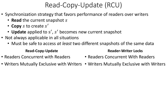- Synchronization strategy that favors performance of readers over writers
	- **Read** the current snapshot s
	- Copy s to create s'
	- Update applied to s', s' becomes new current snapshot
- Not always applicable in all situations
	- Must be safe to access *at least* two different snapshots of the same data

#### **Read-Copy-Update**

• Readers Concurrent with Readers

#### **Reader-Writer Locks**

- Readers Concurrent With Readers
- Writers Mutually Exclusive with Writers Writers Mutually Exclusive with Writers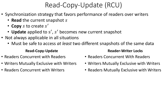- Synchronization strategy that favors performance of readers over writers
	- **Read** the current snapshot s
	- Copy s to create s'
	- Update applied to s', s' becomes new current snapshot
- Not always applicable in all situations
	- Must be safe to access *at least* two different snapshots of the same data

#### **Read-Copy-Update**

- Readers Concurrent with Readers
- Writers Mutually Exclusive with Writers
- Readers Concurrent with Writers

#### **Reader-Writer Locks**

- Readers Concurrent With Readers
- Writers Mutually Exclusive with Writers
- Readers Mutually Exclusive with Writers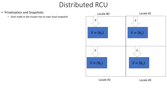- Privatization and Snapshots
	- Each node in the cluster has its own local snapshot



![](_page_17_Figure_4.jpeg)

![](_page_17_Figure_5.jpeg)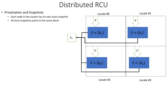• Privatization and Snapshots • Each node in the cluster has its own local snapshot • All local snapshots point to the same block Locale #0 Locale #1 Locale #2 Locale #3  $S = (b_1)$   $S = (b_1)$  $S = (b_1)$   $S = (b_1)$ P P P P P P  $b_1$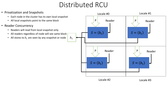![](_page_19_Figure_1.jpeg)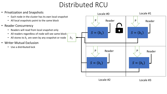![](_page_20_Figure_1.jpeg)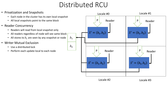![](_page_21_Figure_1.jpeg)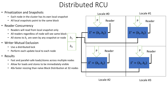![](_page_22_Figure_1.jpeg)

Locale #2 Locale #3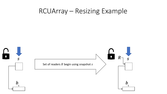#### **RCUArray - Resizing Example**

![](_page_23_Figure_1.jpeg)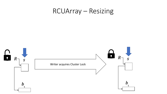![](_page_24_Figure_1.jpeg)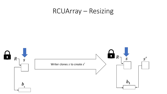![](_page_25_Figure_1.jpeg)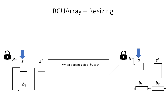![](_page_26_Figure_1.jpeg)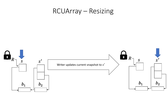![](_page_27_Figure_1.jpeg)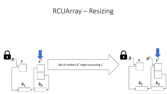![](_page_28_Figure_1.jpeg)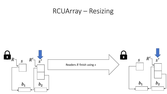![](_page_29_Figure_1.jpeg)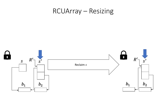![](_page_30_Figure_1.jpeg)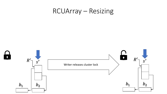![](_page_31_Figure_1.jpeg)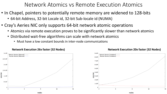#### Network Atomics vs Remote Execution Atomics

- In Chapel, pointers to potentially remote memory are widened to 128-bits
	- 64-bit Address, 32-bit Locale id, 32-bit Sub-locale id (NUMA)
- Cray's Aeries NIC only supports 64-bit network atomic operations
	- Atomics via remote execution proves to be significantly slower than network atomics
	- Distributed wait-free algorithms can scale with network atomics
		- Must have a low constant bounds in inter-node communications

![](_page_32_Figure_7.jpeg)

#### $9\times10$ Network Atomics (Imbalance) Remote Atomics (Imbalance)  $8\times10^6$  $7\times10^6$  $6\times10^{6}$  $5\times10^6$  $\frac{6}{100}$  4×10<sup>6</sup>  $\frac{87}{9}$  3×10<sup>6</sup>  $2\times10^6$  $1 \times 10^6$ 16  $32$ nodes

#### **Network Execution 26x faster (32 Nodes) Network Execution 20x faster (32 Nodes)**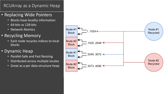#### RCUArray as a Dynamic Heap

#### • Replacing Wide Pointers

- Blocks have locality information
- 64-bits vs 128-bits
- Network Atomics
- Recycling Memory
	- Each node recycles indices to local blocks
- Dynamic Heap
	- Parallel-Safe and Fast Resizing
	- Distributed across multiple locales
	- Great as a per data-structure heap

![](_page_33_Figure_11.jpeg)